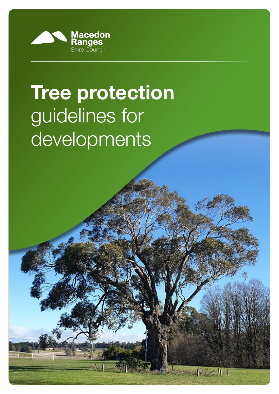

# **Tree protection**  guidelines for developments

 $1 - 11$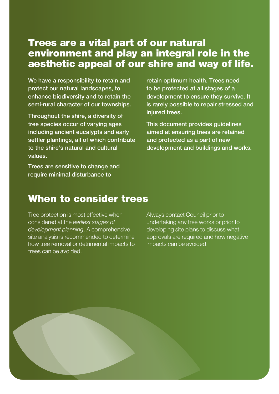## Trees are a vital part of our natural environment and play an integral role in the aesthetic appeal of our shire and way of life.

We have a responsibility to retain and protect our natural landscapes, to enhance biodiversity and to retain the semi-rural character of our townships.

Throughout the shire, a diversity of tree species occur of varying ages including ancient eucalypts and early settler plantings, all of which contribute to the shire's natural and cultural values.

Trees are sensitive to change and require minimal disturbance to

retain optimum health. Trees need to be protected at all stages of a development to ensure they survive. It is rarely possible to repair stressed and iniured trees.

This document provides guidelines aimed at ensuring trees are retained and protected as a part of new development and buildings and works.

## When to consider trees

Tree protection is most effective when considered at the earliest stages of development planning. A comprehensive site analysis is recommended to determine how tree removal or detrimental impacts to trees can be avoided.

Always contact Council prior to undertaking any tree works or prior to developing site plans to discuss what approvals are required and how negative impacts can be avoided.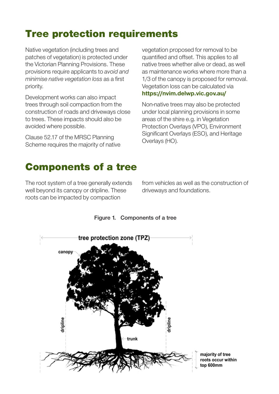# Tree protection requirements

Native vegetation (including trees and patches of vegetation) is protected under the Victorian Planning Provisions. These provisions require applicants to avoid and minimise native vegetation loss as a first priority.

Development works can also impact trees through soil compaction from the construction of roads and driveways close to trees. These impacts should also be avoided where possible.

Clause 52.17 of the MRSC Planning Scheme requires the majority of native vegetation proposed for removal to be quantified and offset. This applies to all native trees whether alive or dead, as well as maintenance works where more than a 1/3 of the canopy is proposed for removal. Vegetation loss can be calculated via https://nvim.delwp.vic.gov.au/

Non-native trees may also be protected under local planning provisions in some areas of the shire e.g. in Vegetation Protection Overlays (VPO), Environment Significant Overlays (ESO), and Heritage Overlays (HO).

## Components of a tree

The root system of a tree generally extends well beyond its canopy or dripline. These roots can be impacted by compaction

from vehicles as well as the construction of driveways and foundations.



#### Figure 1. Components of a tree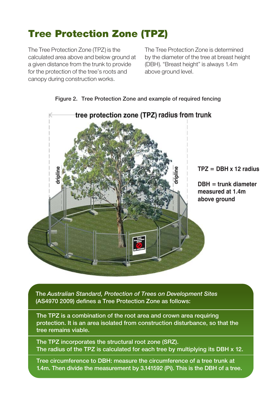# Tree Protection Zone (TPZ)

The Tree Protection Zone (TPZ) is the calculated area above and below ground at a given distance from the trunk to provide for the protection of the tree's roots and canopy during construction works.

The Tree Protection Zone is determined by the diameter of the tree at breast height (DBH). "Breast height" is always 1.4m above ground level.





The Australian Standard, Protection of Trees on Development Sites (AS4970 2009) defines a Tree Protection Zone as follows:

The TPZ is a combination of the root area and crown area requiring protection. It is an area isolated from construction disturbance, so that the tree remains viable.

The TPZ incorporates the structural root zone (SRZ). The radius of the TPZ is calculated for each tree by multiplying its DBH x 12.

Tree circumference to DBH: measure the circumference of a tree trunk at 1.4m. Then divide the measurement by 3.141592 (Pi). This is the DBH of a tree.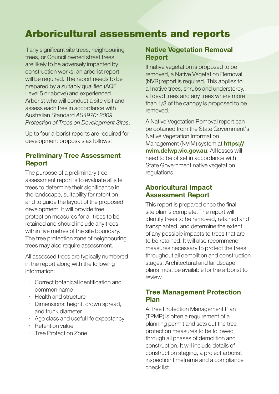## Arboricultural assessments and reports

If any significant site trees, neighbouring trees, or Council owned street trees are likely to be adversely impacted by construction works, an arborist report will be required. The report needs to be prepared by a suitably qualified (AQF Level 5 or above) and experienced Arborist who will conduct a site visit and assess each tree in accordance with Australian Standard AS4970: 2009 ‐ Protection of Trees on Development Sites.

Up to four arborist reports are required for development proposals as follows:

#### Preliminary Tree Assessment Report

The purpose of a preliminary tree assessment report is to evaluate all site trees to determine their significance in the landscape, suitability for retention and to guide the layout of the proposed development. It will provide tree protection measures for all trees to be retained and should include any trees within five metres of the site boundary. The tree protection zone of neighbouring trees may also require assessment.

All assessed trees are typically numbered in the report along with the following information:

- Correct botanical identification and common name
- Health and structure
- Dimensions: height, crown spread, and trunk diameter
- Age class and useful life expectancy
- Retention value
- Tree Protection Zone

#### Native Vegetation Removal Report

If native vegetation is proposed to be removed, a Native Vegetation Removal (NVR) report is required. This applies to all native trees, shrubs and understorey, all dead trees and any trees where more than 1/3 of the canopy is proposed to be removed.

A Native Vegetation Removal report can be obtained from the State Government's Native Vegetation Information Management (NVIM) system at **https://** nvim.delwp.vic.gov.au. All losses will need to be offset in accordance with State Government native vegetation regulations.

#### Aboricultural Impact Assessment Report

This report is prepared once the final site plan is complete. The report will identify trees to be removed, retained and transplanted, and determine the extent of any possible impacts to trees that are to be retained. It will also recommend measures necessary to protect the trees throughout all demolition and construction stages. Architectural and landscape plans must be available for the arborist to review.

#### Tree Management Protection Plan

A Tree Protection Management Plan (TPMP) is often a requirement of a planning permit and sets out the tree protection measures to be followed through all phases of demolition and construction. It will include details of construction staging, a project arborist inspection timeframe and a compliance check list.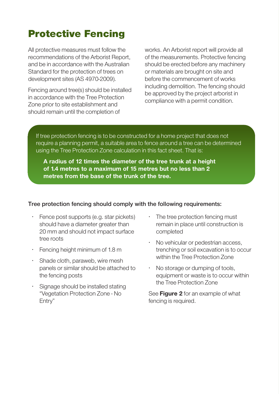# Protective Fencing

All protective measures must follow the recommendations of the Arborist Report, and be in accordance with the Australian Standard for the protection of trees on development sites (AS 4970-2009).

Fencing around tree(s) should be installed in accordance with the Tree Protection Zone prior to site establishment and should remain until the completion of

works. An Arborist report will provide all of the measurements. Protective fencing should be erected before any machinery or materials are brought on site and before the commencement of works including demolition. The fencing should be approved by the project arborist in compliance with a permit condition.

If tree protection fencing is to be constructed for a home project that does not require a planning permit, a suitable area to fence around a tree can be determined using the Tree Protection Zone calculation in this fact sheet. That is:

A radius of 12 times the diameter of the tree trunk at a height of 1.4 metres to a maximum of 15 metres but no less than 2 metres from the base of the trunk of the tree.

#### Tree protection fencing should comply with the following requirements:

- Fence post supports (e.g. star pickets) should have a diameter greater than 20 mm and should not impact surface tree roots
- Fencing height minimum of 1.8 m
- Shade cloth, paraweb, wire mesh panels or similar should be attached to the fencing posts
- Signage should be installed stating "Vegetation Protection Zone - No Entry"
- The tree protection fencing must remain in place until construction is completed
- No vehicular or pedestrian access. trenching or soil excavation is to occur within the Tree Protection Zone
- No storage or dumping of tools, equipment or waste is to occur within the Tree Protection Zone

See Figure 2 for an example of what fencing is required.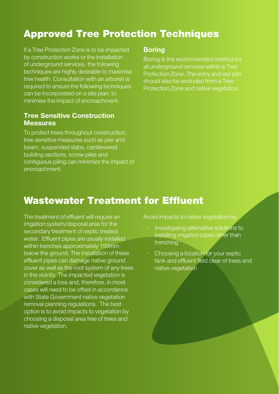# Approved Tree Protection Techniques

If a Tree Protection Zone is to be impacted by construction works or the installation of underground services, the following techniques are highly desirable to maximise tree health. Consultation with an arborist is required to ensure the following techniques can be incorporated on a site plan, to minimise the impact of encroachment.

#### Tree Sensitive Construction **Measures**

To protect trees throughout construction, tree sensitive measures such as pier and beam, suspended slabs, cantilevered building sections, screw piles and contiguous piling can minimize the impact of encroachment.

#### **Boring**

Boring is the recommended method for all underground services within a Tree Protection Zone. The entry and exit pits should also be excluded from a Tree Protection Zone and native vegetation.

## Wastewater Treatment for Effluent

The treatment of effluent will require an irrigation system/disposal area for the secondary treatment of septic treated water. Effluent pipes are usually installed within trenches approximately 150mm below the ground. The installation of these effluent pipes can damage native ground cover as well as the root system of any trees in the vicinity. The impacted vegetation is considered a loss and, therefore, in most cases will need to be offset in accordance with State Government native vegetation removal planning regulations. The best option is to avoid impacts to vegetation by choosing a disposal area free of trees and native vegetation.

Avoid impacts to native vegetation by:

- Investigating alternative solutions to installing irrigation pipes other than trenching
- Choosing a location for your septic tank and effluent field clear of trees and native vegetation